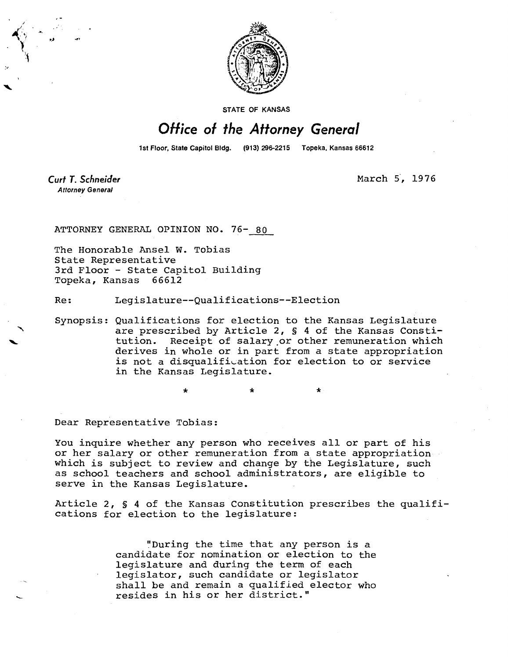

STATE OF KANSAS

## Office of the Attorney General

1st Floor, State Capitol Bldg. (913) 296-2215 Topeka, Kansas 66612

Curt T. Schneider **Attorney General** 

March 5, 1976

ATTORNEY GENERAL OPINION NO. 76- 80

The Honorable Ansel W. Tobias State Representative 3rd Floor - State Capitol Building Topeka, Kansas 66612

Re: Legislature--Qualifications--Election

Synopsis: Qualifications for election to the Kansas Legislature are prescribed by Article 2, § 4 of the Kansas Constitution. Receipt of salary or other remuneration which derives in whole or in part from a state appropriation is not a disqualification for election to or service in the Kansas Legislature.

\* \*

Dear Representative Tobias:

You inquire whether any person who receives all or part of his or her salary or other remuneration from a state appropriation which is subject to review and change by the Legislature, such as school teachers and school administrators, are eligible to serve in the Kansas Legislature.

Article 2, § 4 of the Kansas Constitution prescribes the qualifications for election to the legislature:

> "During the time that any person is a candidate for nomination or election to the legislature and during the term of each legislator, such candidate or legislator shall be and remain a qualified elector who resides in his or her district."